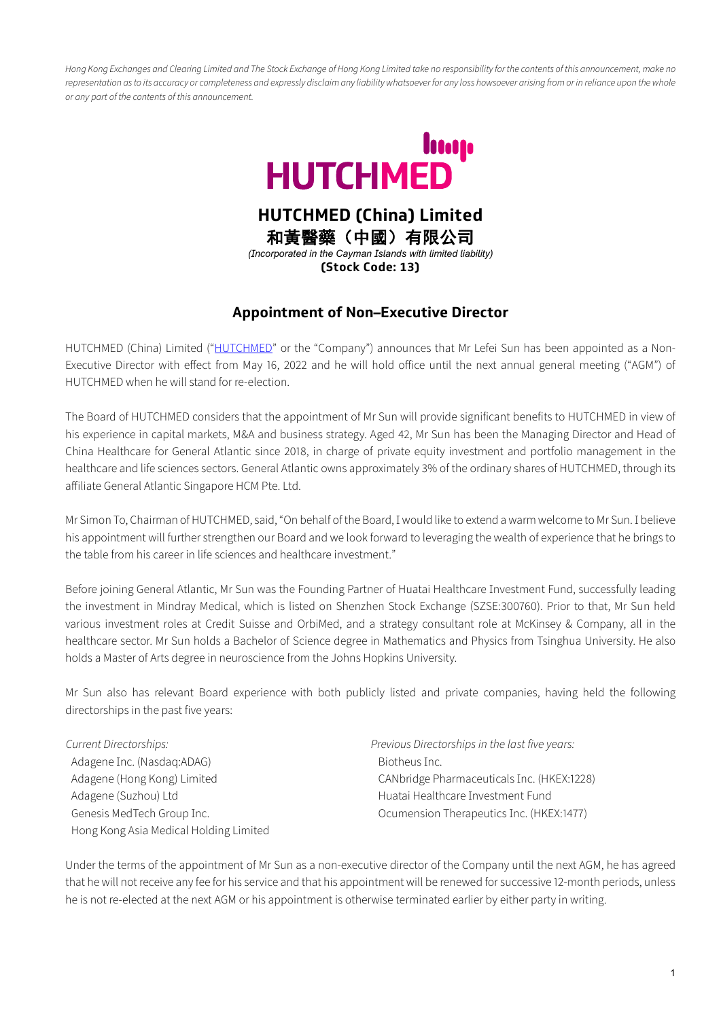*Hong Kong Exchanges and Clearing Limited and The Stock Exchange of Hong Kong Limited take no responsibility for the contents of this announcement, make no representation as to its accuracy or completeness and expressly disclaim any liability whatsoever for any loss howsoever arising from or in reliance upon the whole or any part of the contents of this announcement.*



**HUTCHMED (China) Limited** 和黃醫藥(中國)有限公司

*(Incorporated in the Cayman Islands with limited liability)* **(Stock Code: 13)**

# **Appointment of Non–Executive Director**

HUTCHMED (China) Limited (["HUTCHMED"](https://www.hutch-med.com/) or the "Company") announces that Mr Lefei Sun has been appointed as a Non-Executive Director with effect from May 16, 2022 and he will hold office until the next annual general meeting ("AGM") of HUTCHMED when he will stand for re-election.

The Board of HUTCHMED considers that the appointment of Mr Sun will provide significant benefits to HUTCHMED in view of his experience in capital markets, M&A and business strategy. Aged 42, Mr Sun has been the Managing Director and Head of China Healthcare for General Atlantic since 2018, in charge of private equity investment and portfolio management in the healthcare and life sciences sectors. General Atlantic owns approximately 3% of the ordinary shares of HUTCHMED, through its affiliate General Atlantic Singapore HCM Pte. Ltd.

Mr Simon To, Chairman of HUTCHMED, said, "On behalf of the Board, І would like to extend a warm welcome to Mr Sun. І believe his appointment will further strengthen our Board and we look forward to leveraging the wealth of experience that he brings to the table from his career in life sciences and healthcare investment."

Before joining General Atlantic, Mr Sun was the Founding Partner of Huatai Healthcare Іnvestment Fund, successfully leading the investment in Mindray Medical, which is listed on Shenzhen Stock Exchange (SZSE:300760). Prior to that, Mr Sun held various investment roles at Credit Suisse and OrbiMed, and a strategy consultant role at McKinsey & Company, all in the healthcare sector. Mr Sun holds a Bachelor of Science degree in Mathematics and Physics from Tsinghua University. He also holds a Master of Arts degree in neuroscience from the Johns Hopkins University.

Mr Sun also has relevant Board experience with both publicly listed and private companies, having held the following directorships in the past five years:

*Current Directorships: Previous Directorships in the last five years:* Adagene Inc. (Nasdaq:ADAG) Biotheus Inc. Adagene (Suzhou) Ltd **Huatai Healthcare Investment Fund** Hong Kong Asia Medical Holding Limited

Adagene (Hong Kong) Limited CANbridge Pharmaceuticals Inc. (HKEX:1228) Genesis MedTech Group Inc. **Canadian Communist Communist Communist Communist Communist Communist Communist Communist Communist Communist Communist Communist Communist Communist Communist Communist Communist Communist Commu** 

Under the terms of the appointment of Mr Sun as a non-executive director of the Company until the next AGM, he has agreed that he will not receive any fee for his service and that his appointment will be renewed for successive 12-month periods, unless he is not re-elected at the next AGM or his appointment is otherwise terminated earlier by either party in writing.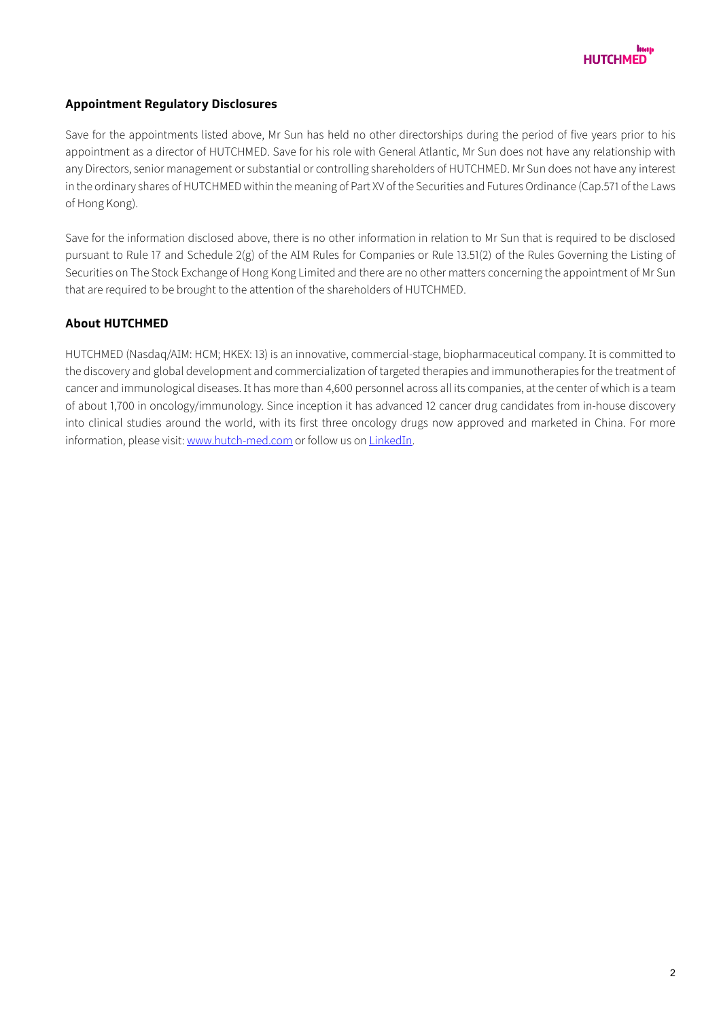

### **Appointment Regulatory Disclosures**

Save for the appointments listed above, Mr Sun has held no other directorships during the period of five years prior to his appointment as a director of HUTCHMED. Save for his role with General Atlantic, Mr Sun does not have any relationship with any Directors, senior management or substantial or controlling shareholders of HUTCHMED. Mr Sun does not have any interest in the ordinary shares of HUTCHMED within the meaning of Part XV of the Securities and Futures Ordinance (Cap.571 of the Laws of Hong Kong).

Save for the information disclosed above, there is no other information in relation to Mr Sun that is required to be disclosed pursuant to Rule 17 and Schedule 2(g) of the AІM Rules for Companies or Rule 13.51(2) of the Rules Governing the Listing of Securities on The Stock Exchange of Hong Kong Limited and there are no other matters concerning the appointment of Mr Sun that are required to be brought to the attention of the shareholders of HUTCHMED.

### **About HUTCHMED**

HUTCHMED (Nasdaq/AIM: HCM; HKEX: 13) is an innovative, commercial-stage, biopharmaceutical company. It is committed to the discovery and global development and commercialization of targeted therapies and immunotherapies for the treatment of cancer and immunological diseases. Іt has more than 4,600 personnel across all its companies, at the center of which is a team of about 1,700 in oncology/immunology. Since inception it has advanced 12 cancer drug candidates from in-house discovery into clinical studies around the world, with its first three oncology drugs now approved and marketed in China. For more information, please visit[: www.hutch-med.com](https://www.hutch-med.com/) or follow us on LinkedIn.